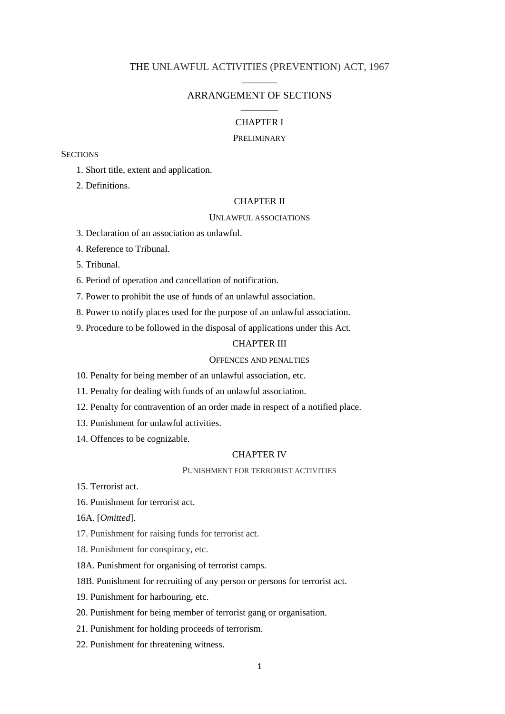## THE UNLAWFUL ACTIVITIES (PREVENTION) ACT, 1967  $\overline{\phantom{a}}$

## ARRANGEMENT OF SECTIONS  $\overline{\phantom{a}}$

## CHAPTER I

#### PRELIMINARY

### **SECTIONS**

1. Short title, extent and application.

2. Definitions.

### CHAPTER II

#### UNLAWFUL ASSOCIATIONS

- 3. Declaration of an association as unlawful.
- 4. Reference to Tribunal.
- 5. Tribunal.

6. Period of operation and cancellation of notification.

7. Power to prohibit the use of funds of an unlawful association.

8. Power to notify places used for the purpose of an unlawful association.

9. Procedure to be followed in the disposal of applications under this Act.

## CHAPTER III

### OFFENCES AND PENALTIES

10. Penalty for being member of an unlawful association, etc.

11. Penalty for dealing with funds of an unlawful association.

12. Penalty for contravention of an order made in respect of a notified place.

- 13. Punishment for unlawful activities.
- 14. Offences to be cognizable.

#### CHAPTER IV

## P[UNISHMENT FOR TERRORIST ACTIVITIES](javascript:openwindow()

15. Terrorist act.

16. Punishment for terrorist act.

16A. [*Omitted*].

- 17. Punishment for raising funds for terrorist act.
- 18. Punishment for conspiracy, etc.
- 18A. Punishment for organising of terrorist camps.
- 18B. Punishment for recruiting of any person or persons for terrorist act.
- 19. Punishment for harbouring, etc.
- 20. Punishment for being member of terrorist gang or organisation.
- 21. Punishment for holding proceeds of terrorism.
- 22. Punishment for threatening witness.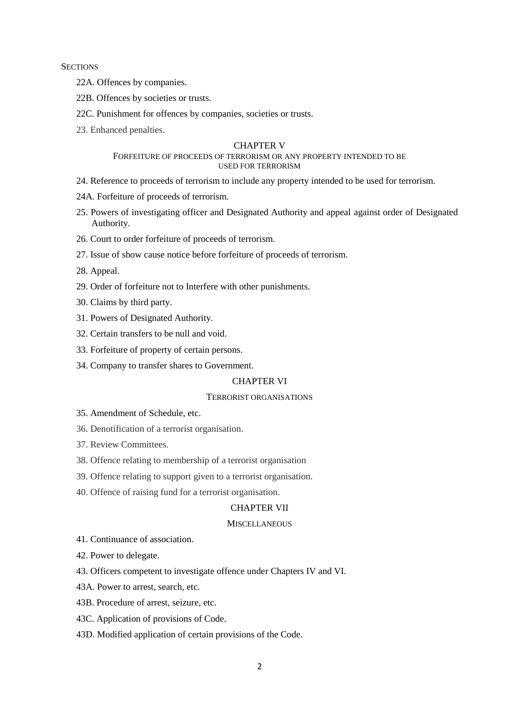#### **SECTIONS**

- 22A. Offences by companies.
- 22B. Offences by societies or trusts.
- 22C. Punishment for offences by companies, societies or trusts.
- 23. Enhanced penalties.

### CHAPTER V

#### FORFEITURE OF PROCEEDS OF TERRORISM OR ANY PROPERTY INTENDED TO BE USED FOR TERRORISM

- 24. Reference to proceeds of terrorism to include any property intended to be used for terrorism.
- 24A. Forfeiture of proceeds of terrorism.
- 25. Powers of investigating officer and Designated Authority and appeal against order of Designated Authority.
- 26. Court to order forfeiture of proceeds of terrorism.
- 27. Issue of show cause notice before forfeiture of proceeds of terrorism.
- 28. Appeal.
- 29. Order of forfeiture not to Interfere with other punishments.
- 30. Claims by third party.
- 31. Powers of Designated Authority.
- 32. Certain transfers to be null and void.
- 33. Forfeiture of property of certain persons.
- 34. Company to transfer shares to Government.

## CHAPTER VI

### TERRORIST ORGANISATIONS

- 35. Amendment of Schedule, etc.
- 36. Denotification of a terrorist organisation.
- 37. Review Committees.
- 38. Offence relating to membership of a terrorist organisation
- 39. Offence relating to support given to a terrorist organisation.
- 40. Offence of raising fund for a terrorist organisation.

## CHAPTER VII

## **MISCELLANEOUS**

- 41. Continuance of association.
- 42. Power to delegate.
- 43. Officers competent to investigate offence under Chapters IV and VI.
- 43A. Power to arrest, search, etc.
- 43B. Procedure of arrest, seizure, etc.
- 43C. Application of provisions of Code.
- 43D. Modified application of certain provisions of the Code.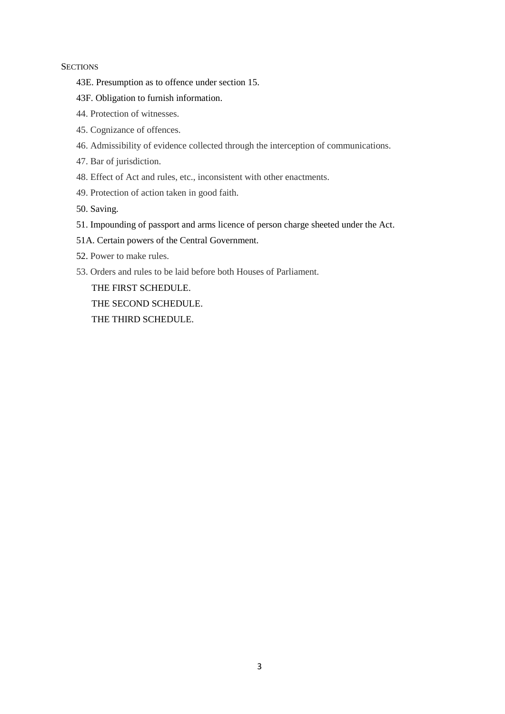## **SECTIONS**

- 43E. Presumption as to offence under section 15.
- 43F. Obligation to furnish information.
- 44. Protection of witnesses.
- 45. Cognizance of offences.
- 46. Admissibility of evidence collected through the interception of communications.
- 47. Bar of jurisdiction.
- 48. Effect of Act and rules, etc., inconsistent with other enactments.
- 49. Protection of action taken in good faith.

50. Saving.

51. Impounding of passport and arms licence of person charge sheeted under the Act.

## 51A. Certain powers of the Central Government.

- 52. Power to make rules.
- 53. Orders and rules to be laid before both Houses of Parliament.

THE FIRST SCHEDULE. THE SECOND SCHEDULE. THE THIRD SCHEDULE.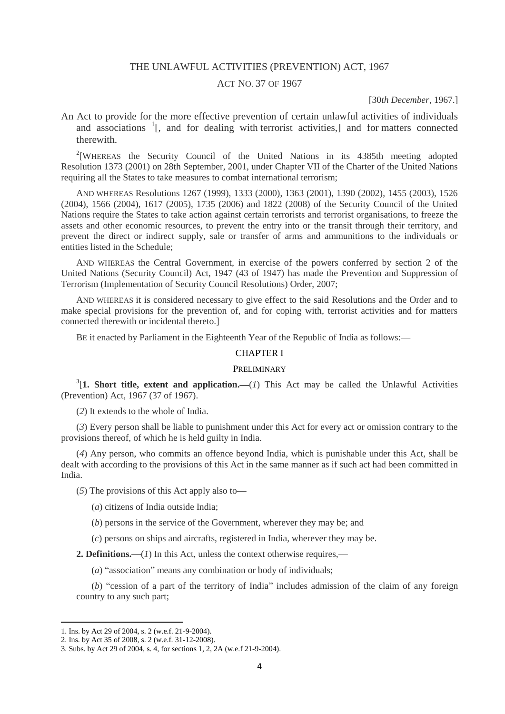## THE UNLAWFUL ACTIVITIES (PREVENTION) ACT, 1967

## ACT NO. 37 OF 1967

### [30*th December,* 1967.]

An Act to provide for the more effective prevention of certain unlawful activities of individuals and associations  $\frac{1}{1}$ , and for dealing with terrorist activities, and for matters connected therewith.

<sup>2</sup>[WHEREAS the Security Council of the United Nations in its 4385th meeting adopted Resolution 1373 (2001) on 28th September, 2001, under Chapter VII of the Charter of the United Nations requiring all the States to take measures to combat international terrorism;

AND WHEREAS Resolutions 1267 (1999), 1333 (2000), 1363 (2001), 1390 (2002), 1455 (2003), 1526 (2004), 1566 (2004), 1617 (2005), 1735 (2006) and 1822 (2008) of the Security Council of the United Nations require the States to take action against certain terrorists and terrorist organisations, to freeze the assets and other economic resources, to prevent the entry into or the transit through their territory, and prevent the direct or indirect supply, sale or transfer of arms and ammunitions to the individuals or entities listed in the Schedule;

AND WHEREAS the Central Government, in exercise of the powers conferred by section 2 of the United Nations (Security Council) Act, 1947 (43 of 1947) has made the Prevention and Suppression of Terrorism (Implementation of Security Council Resolutions) Order, 2007;

AND WHEREAS it is considered necessary to give effect to the said Resolutions and the Order and to make special provisions for the prevention of, and for coping with, terrorist activities and for matters connected therewith or incidental thereto.]

BE it enacted by Parliament in the Eighteenth Year of the Republic of India as follows:—

#### CHAPTER I

#### PRELIMINARY

3 [**1. Short title, extent and application.—**(*1*) This Act may be called the Unlawful Activities (Prevention) Act, 1967 (37 of 1967).

(*2*) It extends to the whole of India.

(*3*) Every person shall be liable to punishment under this Act for every act or omission contrary to the provisions thereof, of which he is held guilty in India.

(*4*) Any person, who commits an offence beyond India, which is punishable under this Act, shall be dealt with according to the provisions of this Act in the same manner as if such act had been committed in India.

(*5*) The provisions of this Act apply also to—

(*a*) citizens of India outside India;

(*b*) persons in the service of the Government, wherever they may be; and

(*c*) persons on ships and aircrafts, registered in India, wherever they may be.

**2. Definitions.—**(*1*) In this Act, unless the context otherwise requires,—

(*a*) "association" means any combination or body of individuals;

(*b*) "cession of a part of the territory of India" includes admission of the claim of any foreign country to any such part;

<sup>1.</sup> Ins. by Act 29 of 2004, s. 2 (w.e.f. 21-9-2004).

<sup>2.</sup> Ins. by Act 35 of 2008, s. 2 (w.e.f. 31-12-2008).

<sup>3.</sup> Subs. by Act 29 of 2004, s. 4, for sections 1, 2, 2A (w.e.f 21-9-2004).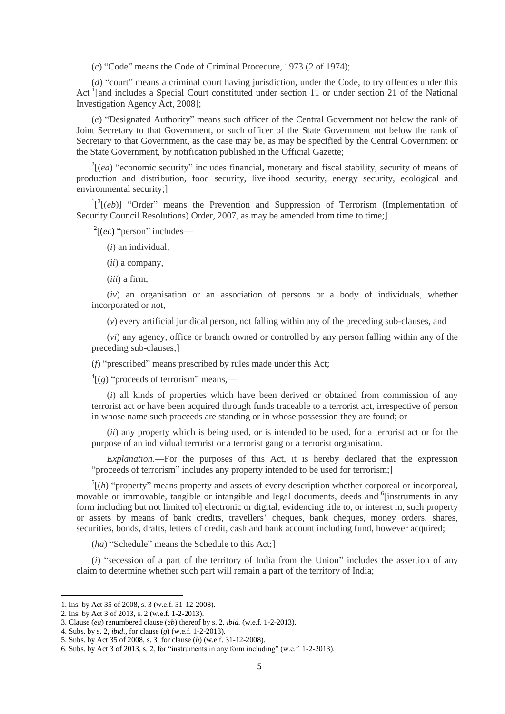(*c*) "Code" means the Code of Criminal Procedure, 1973 (2 of 1974);

(*d*) "court" means a criminal court having jurisdiction, under the Code, to try offences under this Act <sup>1</sup>[and includes a Special Court constituted under section 11 or under section 21 of the National Investigation Agency Act, 2008];

(*e*) "Designated Authority" means such officer of the Central Government not below the rank of Joint Secretary to that Government, or such officer of the State Government not below the rank of Secretary to that Government, as the case may be, as may be specified by the Central Government or the State Government, by notification published in the Official Gazette;

 $2[(ea)$  "economic security" includes financial, monetary and fiscal stability, security of means of production and distribution, food security, livelihood security, energy security, ecological and environmental security;]

 $\int_0^1$ [ $\frac{3}{e}$ [ $\left(eb\right)$ ] "Order" means the Prevention and Suppression of Terrorism (Implementation of Security Council Resolutions) Order, 2007, as may be amended from time to time;]

2 [(*ec*) "person" includes—

(*i*) an individual,

(*ii*) a company,

(*iii*) a firm,

(*iv*) an organisation or an association of persons or a body of individuals, whether incorporated or not,

(*v*) every artificial juridical person, not falling within any of the preceding sub-clauses, and

(*vi*) any agency, office or branch owned or controlled by any person falling within any of the preceding sub-clauses;]

(*f*) "prescribed" means prescribed by rules made under this Act;

 $\binom{4}{9}$  "proceeds of terrorism" means,—

(*i*) all kinds of properties which have been derived or obtained from commission of any terrorist act or have been acquired through funds traceable to a terrorist act, irrespective of person in whose name such proceeds are standing or in whose possession they are found; or

(*ii*) any property which is being used, or is intended to be used, for a terrorist act or for the purpose of an individual terrorist or a terrorist gang or a terrorist organisation.

*Explanation*.—For the purposes of this Act, it is hereby declared that the expression "proceeds of terrorism" includes any property intended to be used for terrorism;]

 $<sup>5</sup>[(h)$  "property" means property and assets of every description whether corporeal or incorporeal,</sup> movable or immovable, tangible or intangible and legal documents, deeds and <sup>6</sup> [instruments in any form including but not limited to] electronic or digital, evidencing title to, or interest in, such property or assets by means of bank credits, travellers' cheques, bank cheques, money orders, shares, securities, bonds, drafts, letters of credit, cash and bank account including fund, however acquired;

(*ha*) "Schedule" means the Schedule to this Act;]

(*i*) "secession of a part of the territory of India from the Union" includes the assertion of any claim to determine whether such part will remain a part of the territory of India;

<sup>1.</sup> Ins. by Act 35 of 2008, s. 3 (w.e.f. 31-12-2008).

<sup>2.</sup> Ins. by Act 3 of 2013, s. 2 (w.e.f. 1-2-2013).

<sup>3.</sup> Clause (*ea*) renumbered clause (*eb*) thereof by s. 2, *ibid.* (w.e.f. 1-2-2013).

<sup>4.</sup> Subs. by s. 2, *ibid*.*,* for clause (*g*) (w.e.f. 1-2-2013).

<sup>5.</sup> Subs. by Act 35 of 2008, s. 3, for clause (*h*) (w.e.f. 31-12-2008).

<sup>6.</sup> Subs. by Act 3 of 2013, s. 2, for "instruments in any form including" (w.e.f. 1-2-2013).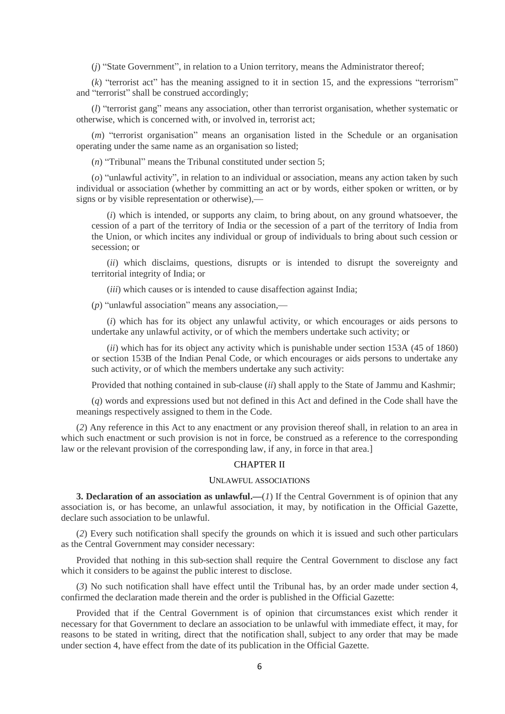(*j*) "State Government", in relation to a Union territory, means the Administrator thereof;

(*k*) "terrorist act" has the meaning assigned to it in section 15, and the expressions "terrorism" and "terrorist" shall be construed accordingly;

(*l*) "terrorist gang" means any association, other than terrorist organisation, whether systematic or otherwise, which is concerned with, or involved in, terrorist act;

(*m*) "terrorist organisation" means an organisation listed in the Schedule or an organisation operating under the same name as an organisation so listed;

(*n*) "Tribunal" means the Tribunal constituted under section 5;

(*o*) "unlawful activity", in relation to an individual or association, means any action taken by such individual or association (whether by committing an act or by words, either spoken or written, or by signs or by visible representation or otherwise),—

(*i*) which is intended, or supports any claim, to bring about, on any ground whatsoever, the cession of a part of the territory of India or the secession of a part of the territory of India from the Union, or which incites any individual or group of individuals to bring about such cession or secession; or

(*ii*) which disclaims, questions, disrupts or is intended to disrupt the sovereignty and territorial integrity of India; or

(*iii*) which causes or is intended to cause disaffection against India;

(*p*) "unlawful association" means any association,—

(*i*) which has for its object any unlawful activity, or which encourages or aids persons to undertake any unlawful activity, or of which the members undertake such activity; or

(*ii*) which has for its object any activity which is punishable under section 153A (45 of 1860) or section 153B of the Indian Penal Code, or which encourages or aids persons to undertake any such activity, or of which the members undertake any such activity:

Provided that nothing contained in sub-clause (*ii*) shall apply to the State of Jammu and Kashmir;

(*q*) words and expressions used but not defined in this Act and defined in the Code shall have the meanings respectively assigned to them in the Code.

(*2*) Any reference in this Act to any enactment or any provision thereof shall, in relation to an area in which such enactment or such provision is not in force, be construed as a reference to the corresponding law or the relevant provision of the corresponding law, if any, in force in that area.]

#### CHAPTER II

## UNLAWFUL ASSOCIATIONS

**3. Declaration of an association as unlawful.—**(*1*) If the Central Government is of opinion that any association is, or has become, an unlawful association, it may, by notification in the Official Gazette, declare such association to be unlawful.

(*2*) Every such notification shall specify the grounds on which it is issued and such other particulars as the Central Government may consider necessary:

Provided that nothing in this sub-section shall require the Central Government to disclose any fact which it considers to be against the public interest to disclose.

(*3*) No such notification shall have effect until the Tribunal has, by an order made under section 4, confirmed the declaration made therein and the order is published in the Official Gazette:

Provided that if the Central Government is of opinion that circumstances exist which render it necessary for that Government to declare an association to be unlawful with immediate effect, it may, for reasons to be stated in writing, direct that the notification shall, subject to any order that may be made under section 4, have effect from the date of its publication in the Official Gazette.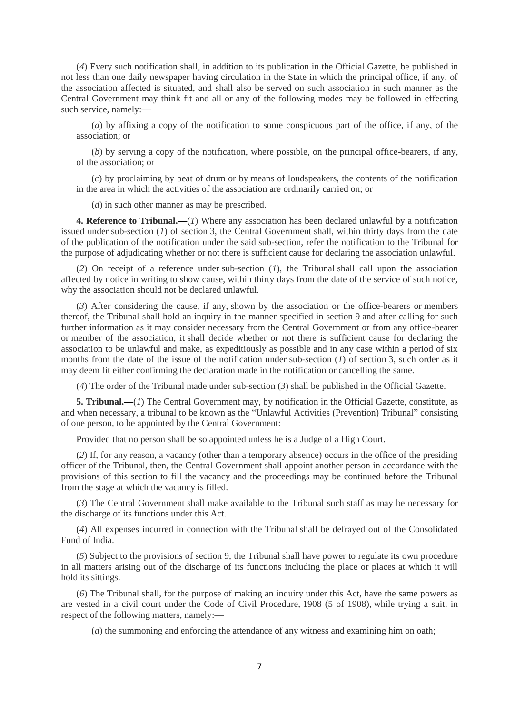(*4*) Every such notification shall, in addition to its publication in the Official Gazette, be published in not less than one daily newspaper having circulation in the State in which the principal office, if any, of the association affected is situated, and shall also be served on such association in such manner as the Central Government may think fit and all or any of the following modes may be followed in effecting such service, namely:—

(*a*) by affixing a copy of the notification to some conspicuous part of the office, if any, of the association; or

(*b*) by serving a copy of the notification, where possible, on the principal office-bearers, if any, of the association; or

(*c*) by proclaiming by beat of drum or by means of loudspeakers, the contents of the notification in the area in which the activities of the association are ordinarily carried on; or

(*d*) in such other manner as may be prescribed.

**4. Reference to Tribunal.—**(*1*) Where any association has been declared unlawful by a notification issued under sub-section (*1*) of section 3, the Central Government shall, within thirty days from the date of the publication of the notification under the said sub-section, refer the notification to the Tribunal for the purpose of adjudicating whether or not there is sufficient cause for declaring the association unlawful.

(*2*) On receipt of a reference under sub-section (*1*), the Tribunal shall call upon the association affected by notice in writing to show cause, within thirty days from the date of the service of such notice, why the association should not be declared unlawful.

(*3*) After considering the cause, if any, shown by the association or the office-bearers or members thereof, the Tribunal shall hold an inquiry in the manner specified in section 9 and after calling for such further information as it may consider necessary from the Central Government or from any office-bearer or member of the association, it shall decide whether or not there is sufficient cause for declaring the association to be unlawful and make, as expeditiously as possible and in any case within a period of six months from the date of the issue of the notification under sub-section (*1*) of section 3, such order as it may deem fit either confirming the declaration made in the notification or cancelling the same.

(*4*) The order of the Tribunal made under sub-section (*3*) shall be published in the Official Gazette.

**5. Tribunal.—**(*1*) The Central Government may, by notification in the Official Gazette, constitute, as and when necessary, a tribunal to be known as the "Unlawful Activities (Prevention) Tribunal" consisting of one person, to be appointed by the Central Government:

Provided that no person shall be so appointed unless he is a Judge of a High Court.

(*2*) If, for any reason, a vacancy (other than a temporary absence) occurs in the office of the presiding officer of the Tribunal, then, the Central Government shall appoint another person in accordance with the provisions of this section to fill the vacancy and the proceedings may be continued before the Tribunal from the stage at which the vacancy is filled.

(*3*) The Central Government shall make available to the Tribunal such staff as may be necessary for the discharge of its functions under this Act.

(*4*) All expenses incurred in connection with the Tribunal shall be defrayed out of the Consolidated Fund of India.

(*5*) Subject to the provisions of section 9, the Tribunal shall have power to regulate its own procedure in all matters arising out of the discharge of its functions including the place or places at which it will hold its sittings.

(*6*) The Tribunal shall, for the purpose of making an inquiry under this Act, have the same powers as are vested in a civil court under the Code of Civil Procedure, 1908 (5 of 1908), while trying a suit, in respect of the following matters, namely:—

(*a*) the summoning and enforcing the attendance of any witness and examining him on oath;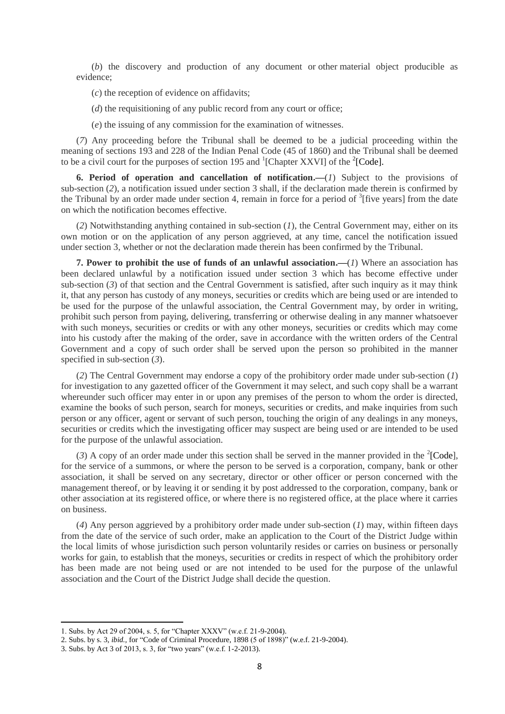(*b*) the discovery and production of any document or other material object producible as evidence;

(*c*) the reception of evidence on affidavits;

(*d*) the requisitioning of any public record from any court or office;

(*e*) the issuing of any commission for the examination of witnesses.

(*7*) Any proceeding before the Tribunal shall be deemed to be a judicial proceeding within the meaning of sections 193 and 228 of the Indian Penal Code (45 of 1860) and the Tribunal shall be deemed to be a civil court for the purposes of section 195 and  ${}^{1}$ [Chapter XXVI] of the  ${}^{2}$ [Code].

**6. Period of operation and cancellation of notification.—**(*1*) Subject to the provisions of sub-section (*2*), a notification issued under section 3 shall, if the declaration made therein is confirmed by the Tribunal by an order made under section 4, remain in force for a period of  ${}^{3}$ [five years] from the date on which the notification becomes effective.

(*2*) Notwithstanding anything contained in sub-section (*1*), the Central Government may, either on its own motion or on the application of any person aggrieved, at any time, cancel the notification issued under section 3, whether or not the declaration made therein has been confirmed by the Tribunal.

**7. Power to prohibit the use of funds of an unlawful association.—**(*1*) Where an association has been declared unlawful by a notification issued under section 3 which has become effective under sub-section (*3*) of that section and the Central Government is satisfied, after such inquiry as it may think it, that any person has custody of any moneys, securities or credits which are being used or are intended to be used for the purpose of the unlawful association, the Central Government may, by order in writing, prohibit such person from paying, delivering, transferring or otherwise dealing in any manner whatsoever with such moneys, securities or credits or with any other moneys, securities or credits which may come into his custody after the making of the order, save in accordance with the written orders of the Central Government and a copy of such order shall be served upon the person so prohibited in the manner specified in sub-section (*3*).

(*2*) The Central Government may endorse a copy of the prohibitory order made under sub-section (*1*) for investigation to any gazetted officer of the Government it may select, and such copy shall be a warrant whereunder such officer may enter in or upon any premises of the person to whom the order is directed, examine the books of such person, search for moneys, securities or credits, and make inquiries from such person or any officer, agent or servant of such person, touching the origin of any dealings in any moneys, securities or credits which the investigating officer may suspect are being used or are intended to be used for the purpose of the unlawful association.

(3) A copy of an order made under this section shall be served in the manner provided in the  ${}^{2}$ [Code], for the service of a summons, or where the person to be served is a corporation, company, bank or other association, it shall be served on any secretary, director or other officer or person concerned with the management thereof, or by leaving it or sending it by post addressed to the corporation, company, bank or other association at its registered office, or where there is no registered office, at the place where it carries on business.

(*4*) Any person aggrieved by a prohibitory order made under sub-section (*1*) may, within fifteen days from the date of the service of such order, make an application to the Court of the District Judge within the local limits of whose jurisdiction such person voluntarily resides or carries on business or personally works for gain, to establish that the moneys, securities or credits in respect of which the prohibitory order has been made are not being used or are not intended to be used for the purpose of the unlawful association and the Court of the District Judge shall decide the question.

<sup>1.</sup> Subs. by Act 29 of 2004, s. 5, for "Chapter XXXV" (w.e.f. 21-9-2004).

<sup>2.</sup> Subs. by s. 3, *ibid.,* for "Code of Criminal Procedure, 1898 (5 of 1898)" (w.e.f. 21-9-2004).

<sup>3.</sup> Subs. by Act 3 of 2013, s. 3, for "two years" (w.e.f. 1-2-2013).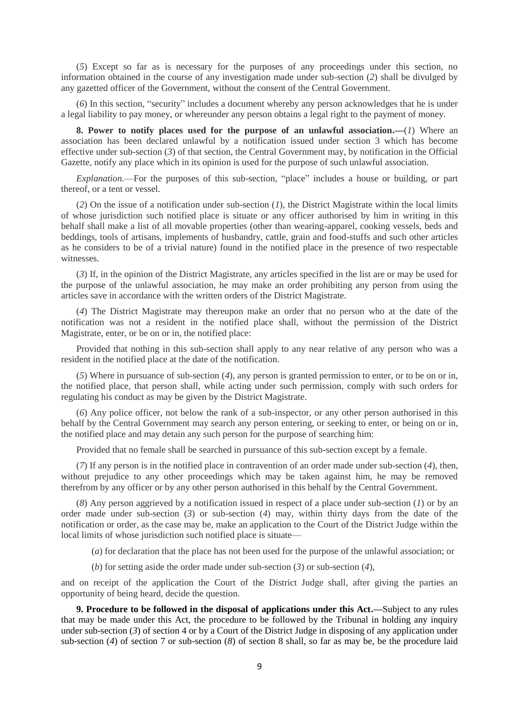(*5*) Except so far as is necessary for the purposes of any proceedings under this section, no information obtained in the course of any investigation made under sub-section (*2*) shall be divulged by any gazetted officer of the Government, without the consent of the Central Government.

(*6*) In this section, "security" includes a document whereby any person acknowledges that he is under a legal liability to pay money, or whereunder any person obtains a legal right to the payment of money.

**8. Power to notify places used for the purpose of an unlawful association.—**(*1*) Where an association has been declared unlawful by a notification issued under section 3 which has become effective under sub-section (*3*) of that section, the Central Government may, by notification in the Official Gazette, notify any place which in its opinion is used for the purpose of such unlawful association.

*Explanation.*—For the purposes of this sub-section, "place" includes a house or building, or part thereof, or a tent or vessel.

(*2*) On the issue of a notification under sub-section (*1*), the District Magistrate within the local limits of whose jurisdiction such notified place is situate or any officer authorised by him in writing in this behalf shall make a list of all movable properties (other than wearing-apparel, cooking vessels, beds and beddings, tools of artisans, implements of husbandry, cattle, grain and food-stuffs and such other articles as he considers to be of a trivial nature) found in the notified place in the presence of two respectable witnesses.

(*3*) If, in the opinion of the District Magistrate, any articles specified in the list are or may be used for the purpose of the unlawful association, he may make an order prohibiting any person from using the articles save in accordance with the written orders of the District Magistrate.

(*4*) The District Magistrate may thereupon make an order that no person who at the date of the notification was not a resident in the notified place shall, without the permission of the District Magistrate, enter, or be on or in, the notified place:

Provided that nothing in this sub-section shall apply to any near relative of any person who was a resident in the notified place at the date of the notification.

(*5*) Where in pursuance of sub-section (*4*), any person is granted permission to enter, or to be on or in, the notified place, that person shall, while acting under such permission, comply with such orders for regulating his conduct as may be given by the District Magistrate.

(*6*) Any police officer, not below the rank of a sub-inspector, or any other person authorised in this behalf by the Central Government may search any person entering, or seeking to enter, or being on or in, the notified place and may detain any such person for the purpose of searching him:

Provided that no female shall be searched in pursuance of this sub-section except by a female.

(*7*) If any person is in the notified place in contravention of an order made under sub-section (*4*), then, without prejudice to any other proceedings which may be taken against him, he may be removed therefrom by any officer or by any other person authorised in this behalf by the Central Government.

(*8*) Any person aggrieved by a notification issued in respect of a place under sub-section (*1*) or by an order made under sub-section (*3*) or sub-section (*4*) may, within thirty days from the date of the notification or order, as the case may be, make an application to the Court of the District Judge within the local limits of whose jurisdiction such notified place is situate—

(*a*) for declaration that the place has not been used for the purpose of the unlawful association; or

(*b*) for setting aside the order made under sub-section (*3*) or sub-section (*4*),

and on receipt of the application the Court of the District Judge shall, after giving the parties an opportunity of being heard, decide the question.

**9. Procedure to be followed in the disposal of applications under this Act.—**Subject to any rules that may be made under this Act, the procedure to be followed by the Tribunal in holding any inquiry under sub-section (*3*) of section 4 or by a Court of the District Judge in disposing of any application under sub-section (*4*) of section 7 or sub-section (*8*) of section 8 shall, so far as may be, be the procedure laid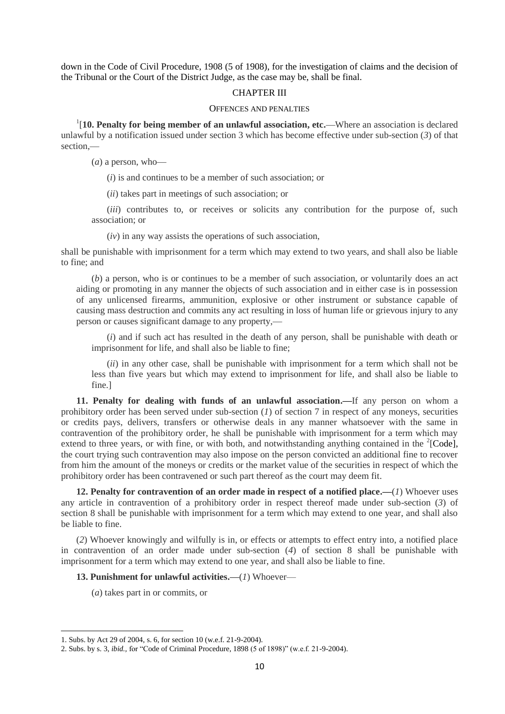down in the Code of Civil Procedure, 1908 (5 of 1908), for the investigation of claims and the decision of the Tribunal or the Court of the District Judge, as the case may be, shall be final.

## CHAPTER III

#### OFFENCES AND PENALTIES

1 [**10. Penalty for being member of an unlawful association, etc.**—Where an association is declared unlawful by a notification issued under section 3 which has become effective under sub-section (*3*) of that section,—

(*a*) a person, who—

(*i*) is and continues to be a member of such association; or

(*ii*) takes part in meetings of such association; or

(*iii*) contributes to, or receives or solicits any contribution for the purpose of, such association; or

(*iv*) in any way assists the operations of such association,

shall be punishable with imprisonment for a term which may extend to two years, and shall also be liable to fine; and

(*b*) a person, who is or continues to be a member of such association, or voluntarily does an act aiding or promoting in any manner the objects of such association and in either case is in possession of any unlicensed firearms, ammunition, explosive or other instrument or substance capable of causing mass destruction and commits any act resulting in loss of human life or grievous injury to any person or causes significant damage to any property,—

(*i*) and if such act has resulted in the death of any person, shall be punishable with death or imprisonment for life, and shall also be liable to fine;

(*ii*) in any other case, shall be punishable with imprisonment for a term which shall not be less than five years but which may extend to imprisonment for life, and shall also be liable to fine.]

**11. Penalty for dealing with funds of an unlawful association.—**If any person on whom a prohibitory order has been served under sub-section (*1*) of section 7 in respect of any moneys, securities or credits pays, delivers, transfers or otherwise deals in any manner whatsoever with the same in contravention of the prohibitory order, he shall be punishable with imprisonment for a term which may extend to three years, or with fine, or with both, and notwithstanding anything contained in the  ${}^{2}$ [Code], the court trying such contravention may also impose on the person convicted an additional fine to recover from him the amount of the moneys or credits or the market value of the securities in respect of which the prohibitory order has been contravened or such part thereof as the court may deem fit.

**12. Penalty for contravention of an order made in respect of a notified place.—**(*1*) Whoever uses any article in contravention of a prohibitory order in respect thereof made under sub-section (*3*) of section 8 shall be punishable with imprisonment for a term which may extend to one year, and shall also be liable to fine.

(*2*) Whoever knowingly and wilfully is in, or effects or attempts to effect entry into, a notified place in contravention of an order made under sub-section (*4*) of section 8 shall be punishable with imprisonment for a term which may extend to one year, and shall also be liable to fine.

**13. Punishment for unlawful activities.—**(*1*) Whoever—

(*a*) takes part in or commits, or

1

<sup>1.</sup> Subs. by Act 29 of 2004, s. 6, for section 10 (w.e.f. 21-9-2004).

<sup>2.</sup> Subs. by s. 3, *ibid.,* for "Code of Criminal Procedure, 1898 (5 of 1898)" (w.e.f. 21-9-2004).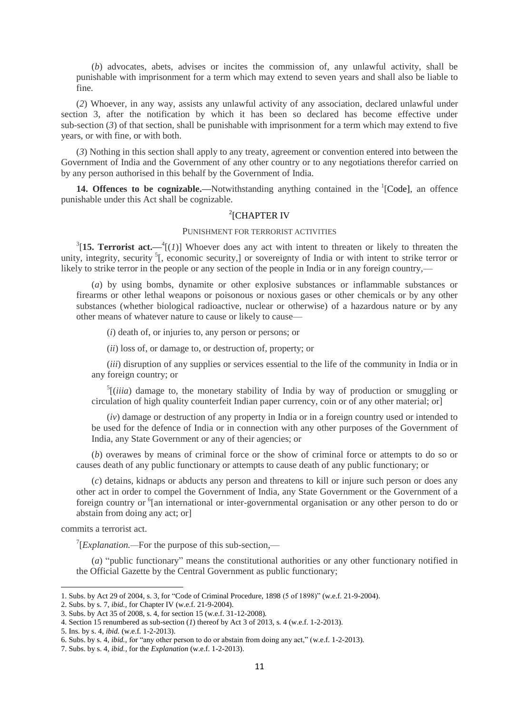(*b*) advocates, abets, advises or incites the commission of, any unlawful activity, shall be punishable with imprisonment for a term which may extend to seven years and shall also be liable to fine.

(*2*) Whoever, in any way, assists any unlawful activity of any association, declared unlawful under section 3, after the notification by which it has been so declared has become effective under sub-section  $(3)$  of that section, shall be punishable with imprisonment for a term which may extend to five years, or with fine, or with both.

(*3*) Nothing in this section shall apply to any treaty, agreement or convention entered into between the Government of India and the Government of any other country or to any negotiations therefor carried on by any person authorised in this behalf by the Government of India.

14. Offences to be cognizable.—Notwithstanding anything contained in the <sup>1</sup>[Code], an offence punishable under this Act shall be cognizable.

## <sup>2</sup>[CHAPTER IV

### P[UNISHMENT FOR TERRORIST ACTIVITIES](javascript:openwindow()

 ${}^{3}[15$ . **Terrorist act.**— ${}^{4}[(1)]$  Whoever does any act with intent to threaten or likely to threaten the unity, integrity, security <sup>5</sup>[, economic security,] or sovereignty of India or with intent to strike terror or likely to strike terror in the people or any section of the people in India or in any foreign country,—

(*a*) by using bombs, dynamite or other explosive substances or inflammable substances or firearms or other lethal weapons or poisonous or noxious gases or other chemicals or by any other substances (whether biological radioactive, nuclear or otherwise) of a hazardous nature or by any other means of whatever nature to cause or likely to cause—

(*i*) death of, or injuries to, any person or persons; or

(*ii*) loss of, or damage to, or destruction of, property; or

(*iii*) disruption of any supplies or services essential to the life of the community in India or in any foreign country; or

<sup>5</sup>[(*iiia*) damage to, the monetary stability of India by way of production or smuggling or circulation of high quality counterfeit Indian paper currency, coin or of any other material; or]

(*iv*) damage or destruction of any property in India or in a foreign country used or intended to be used for the defence of India or in connection with any other purposes of the Government of India, any State Government or any of their agencies; or

(*b*) overawes by means of criminal force or the show of criminal force or attempts to do so or causes death of any public functionary or attempts to cause death of any public functionary; or

(*c*) detains, kidnaps or abducts any person and threatens to kill or injure such person or does any other act in order to compel the Government of India, any State Government or the Government of a foreign country or <sup>6</sup>[an international or inter-governmental organisation or any other person to do or abstain from doing any act; or]

commits a terrorist act.

1

 $7$ [*Explanation*.—For the purpose of this sub-section,—

(*a*) "public functionary" means the constitutional authorities or any other functionary notified in the Official Gazette by the Central Government as public functionary;

<sup>1.</sup> Subs. by Act 29 of 2004, s. 3, for "Code of Criminal Procedure, 1898 (5 of 1898)" (w.e.f. 21-9-2004).

<sup>2.</sup> Subs. by s. 7, *ibid.,* for Chapter IV (w.e.f. 21-9-2004).

<sup>3.</sup> Subs. by Act 35 of 2008, s. 4, for section 15 (w.e.f. 31-12-2008).

<sup>4.</sup> Section 15 renumbered as sub-section (*1*) thereof by Act 3 of 2013, s. 4 (w.e.f. 1-2-2013).

<sup>5.</sup> Ins. by s. 4, *ibid.* (w.e.f. 1-2-2013).

<sup>6.</sup> Subs. by s. 4, *ibid.,* for "any other person to do or abstain from doing any act," (w.e.f. 1-2-2013).

<sup>7.</sup> Subs. by s. 4, *ibid.,* for the *Explanation* (w.e.f. 1-2-2013).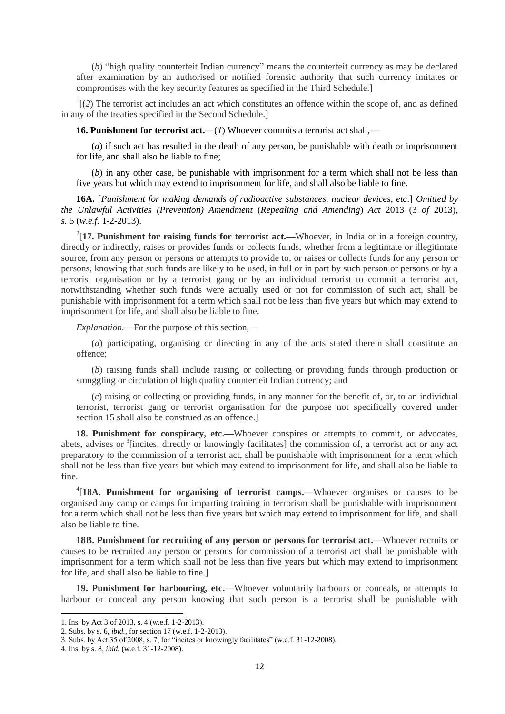(*b*) "high quality counterfeit Indian currency" means the counterfeit currency as may be declared after examination by an authorised or notified forensic authority that such currency imitates or compromises with the key security features as specified in the Third Schedule.]

 $\frac{1}{2}$  (2) The terrorist act includes an act which constitutes an offence within the scope of, and as defined in any of the treaties specified in the Second Schedule.]

**16. Punishment for terrorist act.—**(*1*) Whoever commits a terrorist act shall,**—**

(*a*) if such act has resulted in the death of any person, be punishable with death or imprisonment for life, and shall also be liable to fine;

(*b*) in any other case, be punishable with imprisonment for a term which shall not be less than five years but which may extend to imprisonment for life, and shall also be liable to fine.

**16A.** [*Punishment for making demands of radioactive substances, nuclear devices, etc.*] *Omitted by the Unlawful Activities (Prevention) Amendment* (*Repealing and Amending*) *Act* 2013 (3 *of* 2013), *s.* 5 (*w.e.f.* 1-2-2013).

2 [**17. Punishment for raising funds for terrorist act.—**Whoever, in India or in a foreign country, directly or indirectly, raises or provides funds or collects funds, whether from a legitimate or illegitimate source, from any person or persons or attempts to provide to, or raises or collects funds for any person or persons, knowing that such funds are likely to be used, in full or in part by such person or persons or by a terrorist organisation or by a terrorist gang or by an individual terrorist to commit a terrorist act, notwithstanding whether such funds were actually used or not for commission of such act, shall be punishable with imprisonment for a term which shall not be less than five years but which may extend to imprisonment for life, and shall also be liable to fine.

*Explanation.*—For the purpose of this section,—

(*a*) participating, organising or directing in any of the acts stated therein shall constitute an offence;

(*b*) raising funds shall include raising or collecting or providing funds through production or smuggling or circulation of high quality counterfeit Indian currency; and

(*c*) raising or collecting or providing funds, in any manner for the benefit of, or, to an individual terrorist, terrorist gang or terrorist organisation for the purpose not specifically covered under section 15 shall also be construed as an offence.]

**18. Punishment for conspiracy, etc.—**Whoever conspires or attempts to commit, or advocates, abets, advises or <sup>3</sup> [incites, directly or knowingly facilitates] the commission of, a terrorist act or any act preparatory to the commission of a terrorist act, shall be punishable with imprisonment for a term which shall not be less than five years but which may extend to imprisonment for life, and shall also be liable to fine.

4 [**18A. Punishment for organising of terrorist camps.—**Whoever organises or causes to be organised any camp or camps for imparting training in terrorism shall be punishable with imprisonment for a term which shall not be less than five years but which may extend to imprisonment for life, and shall also be liable to fine.

**18B. Punishment for recruiting of any person or persons for terrorist act.—**Whoever recruits or causes to be recruited any person or persons for commission of a terrorist act shall be punishable with imprisonment for a term which shall not be less than five years but which may extend to imprisonment for life, and shall also be liable to fine.]

**19. Punishment for harbouring, etc.—**Whoever voluntarily harbours or conceals, or attempts to harbour or conceal any person knowing that such person is a terrorist shall be punishable with

<sup>1.</sup> Ins. by Act 3 of 2013, s. 4 (w.e.f. 1-2-2013).

<sup>2.</sup> Subs. by s. 6, *ibid.,* for section 17 (w.e.f. 1-2-2013).

<sup>3.</sup> Subs. by Act 35 of 2008, s. 7, for "incites or knowingly facilitates" (w.e.f. 31-12-2008).

<sup>4.</sup> Ins. by s. 8, *ibid.* (w.e.f. 31-12-2008).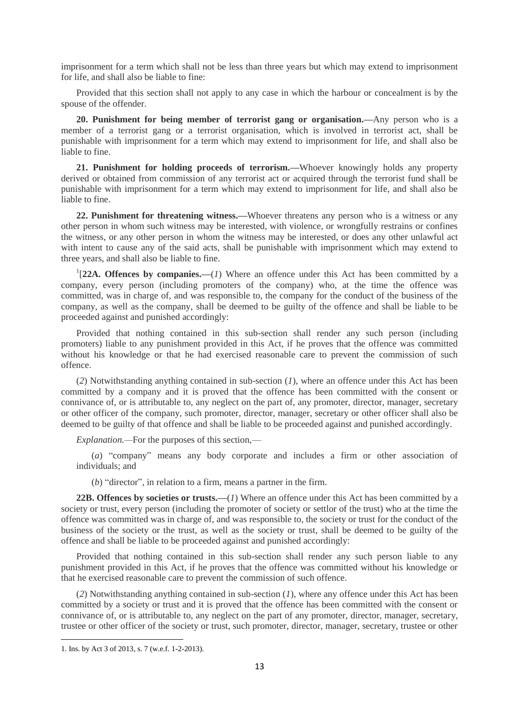imprisonment for a term which shall not be less than three years but which may extend to imprisonment for life, and shall also be liable to fine:

Provided that this section shall not apply to any case in which the harbour or concealment is by the spouse of the offender.

**20. Punishment for being member of terrorist gang or organisation.—**Any person who is a member of a terrorist gang or a terrorist organisation, which is involved in terrorist act, shall be punishable with imprisonment for a term which may extend to imprisonment for life, and shall also be liable to fine.

**21. Punishment for holding proceeds of terrorism.—**Whoever knowingly holds any property derived or obtained from commission of any terrorist act or acquired through the terrorist fund shall be punishable with imprisonment for a term which may extend to imprisonment for life, and shall also be liable to fine.

**22. Punishment for threatening witness.—**Whoever threatens any person who is a witness or any other person in whom such witness may be interested, with violence, or wrongfully restrains or confines the witness, or any other person in whom the witness may be interested, or does any other unlawful act with intent to cause any of the said acts, shall be punishable with imprisonment which may extend to three years, and shall also be liable to fine.

1 [**22A. Offences by companies.—**(*1*) Where an offence under this Act has been committed by a company, every person (including promoters of the company) who, at the time the offence was committed, was in charge of, and was responsible to, the company for the conduct of the business of the company, as well as the company, shall be deemed to be guilty of the offence and shall be liable to be proceeded against and punished accordingly:

Provided that nothing contained in this sub-section shall render any such person (including promoters) liable to any punishment provided in this Act, if he proves that the offence was committed without his knowledge or that he had exercised reasonable care to prevent the commission of such offence.

(*2*) Notwithstanding anything contained in sub-section (*1*), where an offence under this Act has been committed by a company and it is proved that the offence has been committed with the consent or connivance of, or is attributable to, any neglect on the part of, any promoter, director, manager, secretary or other officer of the company, such promoter, director, manager, secretary or other officer shall also be deemed to be guilty of that offence and shall be liable to be proceeded against and punished accordingly.

*Explanation.—*For the purposes of this section,—

(*a*) "company" means any body corporate and includes a firm or other association of individuals; and

(*b*) "director", in relation to a firm, means a partner in the firm.

**22B. Offences by societies or trusts.—**(*1*) Where an offence under this Act has been committed by a society or trust, every person (including the promoter of society or settlor of the trust) who at the time the offence was committed was in charge of, and was responsible to, the society or trust for the conduct of the business of the society or the trust, as well as the society or trust, shall be deemed to be guilty of the offence and shall be liable to be proceeded against and punished accordingly:

Provided that nothing contained in this sub-section shall render any such person liable to any punishment provided in this Act, if he proves that the offence was committed without his knowledge or that he exercised reasonable care to prevent the commission of such offence.

(*2*) Notwithstanding anything contained in sub-section (*1*), where any offence under this Act has been committed by a society or trust and it is proved that the offence has been committed with the consent or connivance of, or is attributable to, any neglect on the part of any promoter, director, manager, secretary, trustee or other officer of the society or trust, such promoter, director, manager, secretary, trustee or other

<sup>1.</sup> Ins. by Act 3 of 2013, s. 7 (w.e.f. 1-2-2013).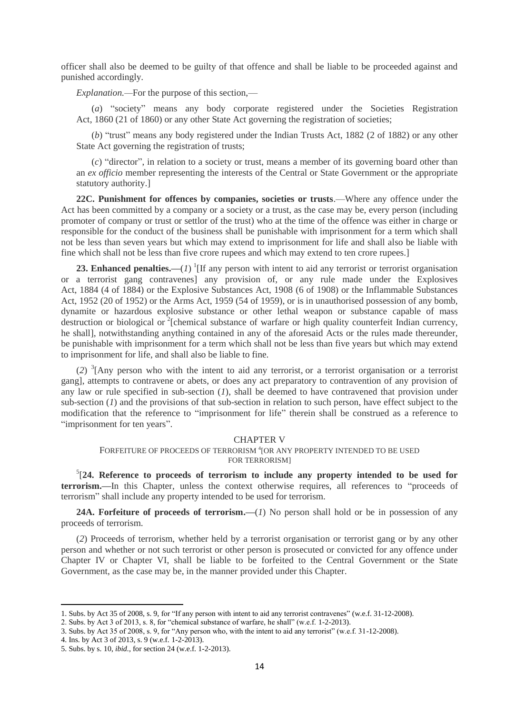officer shall also be deemed to be guilty of that offence and shall be liable to be proceeded against and punished accordingly.

*Explanation.—*For the purpose of this section,—

(*a*) "society" means any body corporate registered under the Societies Registration Act, 1860 (21 of 1860) or any other State Act governing the registration of societies;

(*b*) "trust" means any body registered under the Indian Trusts Act, 1882 (2 of 1882) or any other State Act governing the registration of trusts;

(*c*) "director", in relation to a society or trust, means a member of its governing board other than an *ex officio* member representing the interests of the Central or State Government or the appropriate statutory authority.]

**22C. Punishment for offences by companies, societies or trusts**.—Where any offence under the Act has been committed by a company or a society or a trust, as the case may be, every person (including promoter of company or trust or settlor of the trust) who at the time of the offence was either in charge or responsible for the conduct of the business shall be punishable with imprisonment for a term which shall not be less than seven years but which may extend to imprisonment for life and shall also be liable with fine which shall not be less than five crore rupees and which may extend to ten crore rupees.]

**23. Enhanced penalties.—** $(I)$ **<sup>1</sup>**[If any person with intent to aid any terrorist or terrorist organisation or a terrorist gang contravenes] any provision of, or any rule made under the Explosives Act, 1884 (4 of 1884) or the Explosive Substances Act, 1908 (6 of 1908) or the Inflammable Substances Act, 1952 (20 of 1952) or the Arms Act, 1959 (54 of 1959), or is in unauthorised possession of any bomb, dynamite or hazardous explosive substance or other lethal weapon or substance capable of mass destruction or biological or  $2$ [chemical substance of warfare or high quality counterfeit Indian currency, he shall], notwithstanding anything contained in any of the aforesaid Acts or the rules made thereunder, be punishable with imprisonment for a term which shall not be less than five years but which may extend to imprisonment for life, and shall also be liable to fine.

(*2*) 3 [Any person who with the intent to aid any terrorist, or a terrorist organisation or a terrorist gang], attempts to contravene or abets, or does any act preparatory to contravention of any provision of any law or rule specified in sub-section (*1*), shall be deemed to have contravened that provision under sub-section (*1*) and the provisions of that sub-section in relation to such person, have effect subject to the modification that the reference to "imprisonment for life" therein shall be construed as a reference to "imprisonment for ten years".

#### CHAPTER V

#### FORFEITURE OF PROCEEDS OF TERRORISM<sup>4</sup>[OR ANY PROPERTY INTENDED TO BE USED FOR TERRORISM]

5 [**24. Reference to proceeds of terrorism to include any property intended to be used for terrorism.—**In this Chapter, unless the context otherwise requires, all references to "proceeds of terrorism" shall include any property intended to be used for terrorism.

**24A.** Forfeiture of proceeds of terrorism.—(*1*) No person shall hold or be in possession of any proceeds of terrorism.

(*2*) Proceeds of terrorism, whether held by a terrorist organisation or terrorist gang or by any other person and whether or not such terrorist or other person is prosecuted or convicted for any offence under Chapter IV or Chapter VI, shall be liable to be forfeited to the Central Government or the State Government, as the case may be, in the manner provided under this Chapter.

1

<sup>1.</sup> Subs. by Act 35 of 2008, s. 9, for "If any person with intent to aid any terrorist contravenes" (w.e.f. 31-12-2008).

<sup>2.</sup> Subs. by Act 3 of 2013, s. 8, for "chemical substance of warfare, he shall" (w.e.f. 1-2-2013).

<sup>3.</sup> Subs. by Act 35 of 2008, s. 9, for "Any person who, with the intent to aid any terrorist" (w.e.f. 31-12-2008).

<sup>4.</sup> Ins. by Act 3 of 2013, s. 9 (w.e.f. 1-2-2013).

<sup>5.</sup> Subs. by s. 10, *ibid.,* for section 24 (w.e.f. 1-2-2013).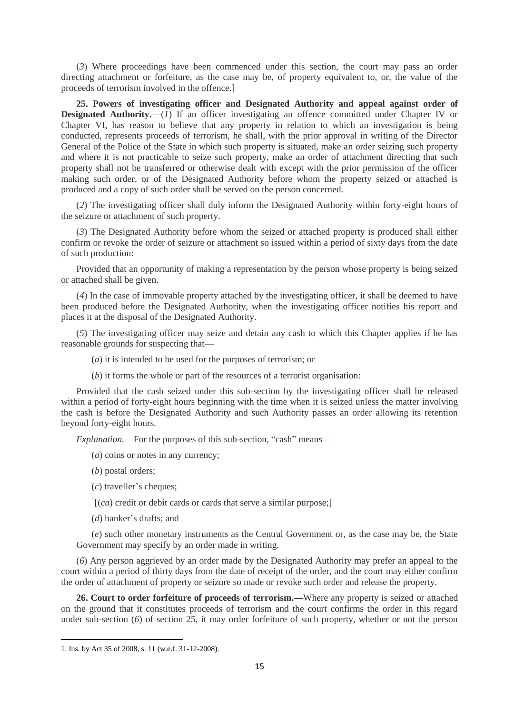(*3*) Where proceedings have been commenced under this section, the court may pass an order directing attachment or forfeiture, as the case may be, of property equivalent to, or, the value of the proceeds of terrorism involved in the offence.]

**25. Powers of investigating officer and Designated Authority and appeal against order of Designated Authority.—(***1***)** If an officer investigating an offence committed under Chapter IV or Chapter VI, has reason to believe that any property in relation to which an investigation is being conducted, represents proceeds of terrorism, he shall, with the prior approval in writing of the Director General of the Police of the State in which such property is situated, make an order seizing such property and where it is not practicable to seize such property, make an order of attachment directing that such property shall not be transferred or otherwise dealt with except with the prior permission of the officer making such order, or of the Designated Authority before whom the property seized or attached is produced and a copy of such order shall be served on the person concerned.

(*2*) The investigating officer shall duly inform the Designated Authority within forty-eight hours of the seizure or attachment of such property.

(*3*) The Designated Authority before whom the seized or attached property is produced shall either confirm or revoke the order of seizure or attachment so issued within a period of sixty days from the date of such production:

Provided that an opportunity of making a representation by the person whose property is being seized or attached shall be given.

(*4*) In the case of immovable property attached by the investigating officer, it shall be deemed to have been produced before the Designated Authority, when the investigating officer notifies his report and places it at the disposal of the Designated Authority.

(*5*) The investigating officer may seize and detain any cash to which this Chapter applies if he has reasonable grounds for suspecting that—

- (*a*) it is intended to be used for the purposes of terrorism; or
- (*b*) it forms the whole or part of the resources of a terrorist organisation:

Provided that the cash seized under this sub-section by the investigating officer shall be released within a period of forty-eight hours beginning with the time when it is seized unless the matter involving the cash is before the Designated Authority and such Authority passes an order allowing its retention beyond forty-eight hours.

*Explanation.*—For the purposes of this sub-section, "cash" means—

- (*a*) coins or notes in any currency;
- (*b*) postal orders;
- (*c*) traveller's cheques;

 $\frac{1}{1}$ [(*ca*) credit or debit cards or cards that serve a similar purpose;]

(*d*) banker's drafts; and

(*e*) such other monetary instruments as the Central Government or, as the case may be, the State Government may specify by an order made in writing.

(*6*) Any person aggrieved by an order made by the Designated Authority may prefer an appeal to the court within a period of thirty days from the date of receipt of the order, and the court may either confirm the order of attachment of property or seizure so made or revoke such order and release the property.

**26. Court to order forfeiture of proceeds of terrorism.—**Where any property is seized or attached on the ground that it constitutes proceeds of terrorism and the court confirms the order in this regard under sub-section (*6*) of section 25, it may order forfeiture of such property, whether or not the person

<sup>1.</sup> Ins. by Act 35 of 2008, s. 11 (w.e.f. 31-12-2008).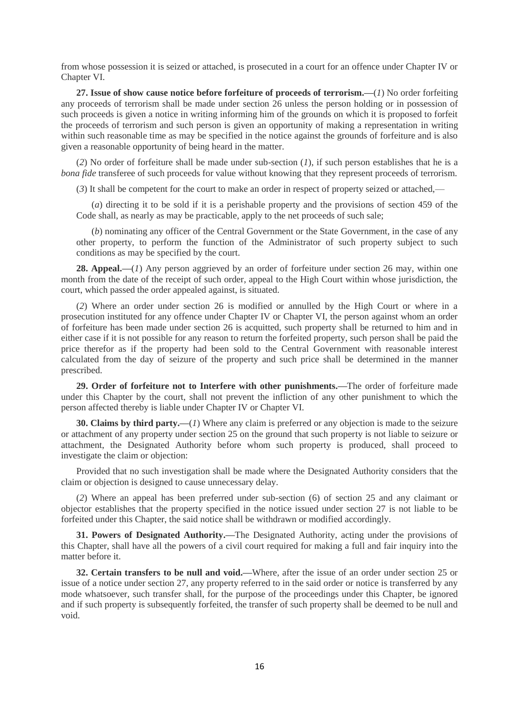from whose possession it is seized or attached, is prosecuted in a court for an offence under Chapter IV or Chapter VI.

**27. Issue of show cause notice before forfeiture of proceeds of terrorism.—**(*1*) No order forfeiting any proceeds of terrorism shall be made under section 26 unless the person holding or in possession of such proceeds is given a notice in writing informing him of the grounds on which it is proposed to forfeit the proceeds of terrorism and such person is given an opportunity of making a representation in writing within such reasonable time as may be specified in the notice against the grounds of forfeiture and is also given a reasonable opportunity of being heard in the matter.

(*2*) No order of forfeiture shall be made under sub-section (*1*), if such person establishes that he is a *bona fide* transferee of such proceeds for value without knowing that they represent proceeds of terrorism.

(*3*) It shall be competent for the court to make an order in respect of property seized or attached,—

(*a*) directing it to be sold if it is a perishable property and the provisions of section 459 of the Code shall, as nearly as may be practicable, apply to the net proceeds of such sale;

(*b*) nominating any officer of the Central Government or the State Government, in the case of any other property, to perform the function of the Administrator of such property subject to such conditions as may be specified by the court.

**28. Appeal.—**(*1*) Any person aggrieved by an order of forfeiture under section 26 may, within one month from the date of the receipt of such order, appeal to the High Court within whose jurisdiction, the court, which passed the order appealed against, is situated.

(*2*) Where an order under section 26 is modified or annulled by the High Court or where in a prosecution instituted for any offence under Chapter IV or Chapter VI, the person against whom an order of forfeiture has been made under section 26 is acquitted, such property shall be returned to him and in either case if it is not possible for any reason to return the forfeited property, such person shall be paid the price therefor as if the property had been sold to the Central Government with reasonable interest calculated from the day of seizure of the property and such price shall be determined in the manner prescribed.

**29. Order of forfeiture not to Interfere with other punishments.—**The order of forfeiture made under this Chapter by the court, shall not prevent the infliction of any other punishment to which the person affected thereby is liable under Chapter IV or Chapter VI.

**30. Claims by third party.—**(*1*) Where any claim is preferred or any objection is made to the seizure or attachment of any property under section 25 on the ground that such property is not liable to seizure or attachment, the Designated Authority before whom such property is produced, shall proceed to investigate the claim or objection:

Provided that no such investigation shall be made where the Designated Authority considers that the claim or objection is designed to cause unnecessary delay.

(*2*) Where an appeal has been preferred under sub-section (6) of section 25 and any claimant or objector establishes that the property specified in the notice issued under section 27 is not liable to be forfeited under this Chapter, the said notice shall be withdrawn or modified accordingly.

**31. Powers of Designated Authority.—**The Designated Authority, acting under the provisions of this Chapter, shall have all the powers of a civil court required for making a full and fair inquiry into the matter before it.

**32. Certain transfers to be null and void.—**Where, after the issue of an order under section 25 or issue of a notice under section 27, any property referred to in the said order or notice is transferred by any mode whatsoever, such transfer shall, for the purpose of the proceedings under this Chapter, be ignored and if such property is subsequently forfeited, the transfer of such property shall be deemed to be null and void.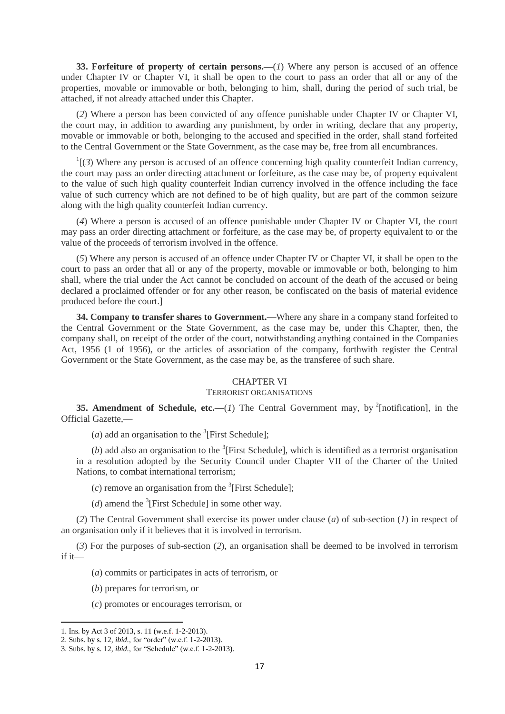**33. Forfeiture of property of certain persons.—**(*1*) Where any person is accused of an offence under Chapter IV or Chapter VI, it shall be open to the court to pass an order that all or any of the properties, movable or immovable or both, belonging to him, shall, during the period of such trial, be attached, if not already attached under this Chapter.

(*2*) Where a person has been convicted of any offence punishable under Chapter IV or Chapter VI, the court may, in addition to awarding any punishment, by order in writing, declare that any property, movable or immovable or both, belonging to the accused and specified in the order, shall stand forfeited to the Central Government or the State Government, as the case may be, free from all encumbrances.

 $\Gamma$ [(3) Where any person is accused of an offence concerning high quality counterfeit Indian currency, the court may pass an order directing attachment or forfeiture, as the case may be, of property equivalent to the value of such high quality counterfeit Indian currency involved in the offence including the face value of such currency which are not defined to be of high quality, but are part of the common seizure along with the high quality counterfeit Indian currency.

(*4*) Where a person is accused of an offence punishable under Chapter IV or Chapter VI, the court may pass an order directing attachment or forfeiture, as the case may be, of property equivalent to or the value of the proceeds of terrorism involved in the offence.

(*5*) Where any person is accused of an offence under Chapter IV or Chapter VI, it shall be open to the court to pass an order that all or any of the property, movable or immovable or both, belonging to him shall, where the trial under the Act cannot be concluded on account of the death of the accused or being declared a proclaimed offender or for any other reason, be confiscated on the basis of material evidence produced before the court.]

**34. Company to transfer shares to Government.—**Where any share in a company stand forfeited to the Central Government or the State Government, as the case may be, under this Chapter, then, the company shall, on receipt of the order of the court, notwithstanding anything contained in the Companies Act, 1956 (1 of 1956), or the articles of association of the company, forthwith register the Central Government or the State Government, as the case may be, as the transferee of such share.

### CHAPTER VI

#### TERRORIST ORGANISATIONS

**35. Amendment of Schedule, etc.—** $(I)$  **The Central Government may, by <sup>2</sup>[notification], in the** Official Gazette,—

(*a*) add an organisation to the  ${}^{3}$ [First Schedule];

(*b*) add also an organisation to the  ${}^{3}$ [First Schedule], which is identified as a terrorist organisation in a resolution adopted by the Security Council under Chapter VII of the Charter of the United Nations, to combat international terrorism;

 $(c)$  remove an organisation from the <sup>3</sup>[First Schedule];

( $d$ ) amend the <sup>3</sup>[First Schedule] in some other way.

(*2*) The Central Government shall exercise its power under clause (*a*) of sub-section (*1*) in respect of an organisation only if it believes that it is involved in terrorism.

(*3*) For the purposes of sub-section (*2*), an organisation shall be deemed to be involved in terrorism if it—

- (*a*) commits or participates in acts of terrorism, or
- (*b*) prepares for terrorism, or
- (*c*) promotes or encourages terrorism, or

<sup>1.</sup> Ins. by Act 3 of 2013, s. 11 (w.e.f. 1-2-2013).

<sup>2.</sup> Subs. by s. 12, *ibid.,* for "order" (w.e.f. 1-2-2013).

<sup>3.</sup> Subs. by s. 12, *ibid.,* for "Schedule" (w.e.f. 1-2-2013).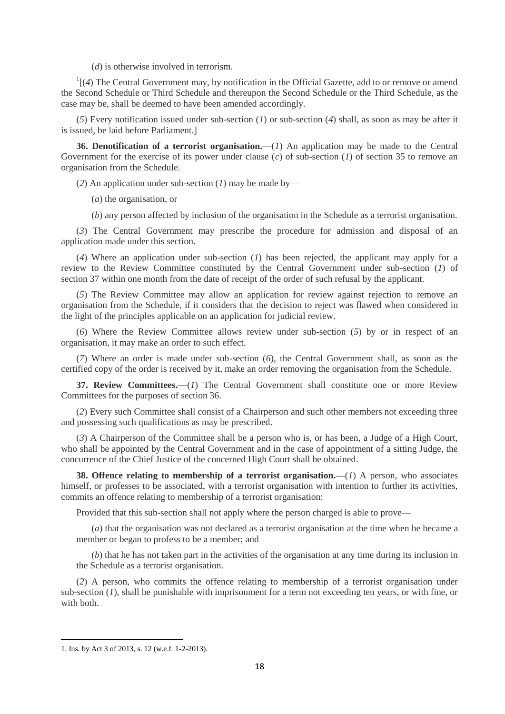(*d*) is otherwise involved in terrorism.

<sup>1</sup>[(4) The Central Government may, by notification in the Official Gazette, add to or remove or amend the Second Schedule or Third Schedule and thereupon the Second Schedule or the Third Schedule, as the case may be, shall be deemed to have been amended accordingly.

(*5*) Every notification issued under sub-section (*1*) or sub-section (*4*) shall, as soon as may be after it is issued, be laid before Parliament.]

**36. Denotification of a terrorist organisation.—**(*1*) An application may be made to the Central Government for the exercise of its power under clause (*c*) of sub-section (*1*) of section 35 to remove an organisation from the Schedule.

(*2*) An application under sub-section (*1*) may be made by—

(*a*) the organisation, or

(*b*) any person affected by inclusion of the organisation in the Schedule as a terrorist organisation.

(*3*) The Central Government may prescribe the procedure for admission and disposal of an application made under this section.

(*4*) Where an application under sub-section (*1*) has been rejected, the applicant may apply for a review to the Review Committee constituted by the Central Government under sub-section (*1*) of section 37 within one month from the date of receipt of the order of such refusal by the applicant.

(*5*) The Review Committee may allow an application for review against rejection to remove an organisation from the Schedule, if it considers that the decision to reject was flawed when considered in the light of the principles applicable on an application for judicial review.

(*6*) Where the Review Committee allows review under sub-section (*5*) by or in respect of an organisation, it may make an order to such effect.

(*7*) Where an order is made under sub-section (*6*), the Central Government shall, as soon as the certified copy of the order is received by it, make an order removing the organisation from the Schedule.

**37. Review Committees.—**(*1*) The Central Government shall constitute one or more Review Committees for the purposes of section 36.

(*2*) Every such Committee shall consist of a Chairperson and such other members not exceeding three and possessing such qualifications as may be prescribed.

(*3*) A Chairperson of the Committee shall be a person who is, or has been, a Judge of a High Court, who shall be appointed by the Central Government and in the case of appointment of a sitting Judge, the concurrence of the Chief Justice of the concerned High Court shall be obtained.

**38. Offence relating to membership of a terrorist organisation.—**(*1*) A person, who associates himself, or professes to be associated, with a terrorist organisation with intention to further its activities, commits an offence relating to membership of a terrorist organisation:

Provided that this sub-section shall not apply where the person charged is able to prove—

(*a*) that the organisation was not declared as a terrorist organisation at the time when he became a member or began to profess to be a member; and

(*b*) that he has not taken part in the activities of the organisation at any time during its inclusion in the Schedule as a terrorist organisation.

(*2*) A person, who commits the offence relating to membership of a terrorist organisation under sub-section (*1*), shall be punishable with imprisonment for a term not exceeding ten years, or with fine, or with both.

<sup>1.</sup> Ins. by Act 3 of 2013, s. 12 (w.e.f. 1-2-2013).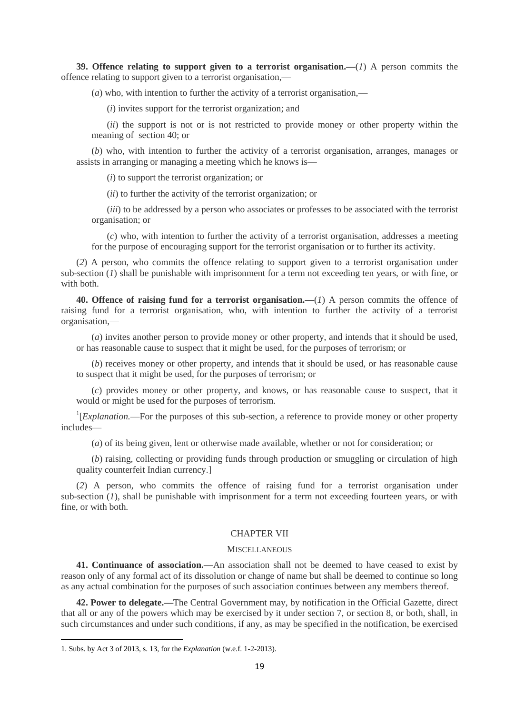**39. Offence relating to support given to a terrorist organisation.—**(*1*) A person commits the offence relating to support given to a terrorist organisation,—

(*a*) who, with intention to further the activity of a terrorist organisation,—

(*i*) invites support for the terrorist organization; and

(*ii*) the support is not or is not restricted to provide money or other property within the meaning of section 40; or

(*b*) who, with intention to further the activity of a terrorist organisation, arranges, manages or assists in arranging or managing a meeting which he knows is—

(*i*) to support the terrorist organization; or

(*ii*) to further the activity of the terrorist organization; or

(*iii*) to be addressed by a person who associates or professes to be associated with the terrorist organisation; or

(*c*) who, with intention to further the activity of a terrorist organisation, addresses a meeting for the purpose of encouraging support for the terrorist organisation or to further its activity.

(*2*) A person, who commits the offence relating to support given to a terrorist organisation under sub-section (*1*) shall be punishable with imprisonment for a term not exceeding ten years, or with fine, or with both.

**40. Offence of raising fund for a terrorist organisation.—**(*1*) A person commits the offence of raising fund for a terrorist organisation, who, with intention to further the activity of a terrorist organisation,—

(*a*) invites another person to provide money or other property, and intends that it should be used, or has reasonable cause to suspect that it might be used, for the purposes of terrorism; or

(*b*) receives money or other property, and intends that it should be used, or has reasonable cause to suspect that it might be used, for the purposes of terrorism; or

(*c*) provides money or other property, and knows, or has reasonable cause to suspect, that it would or might be used for the purposes of terrorism.

<sup>1</sup>[*Explanation*.—For the purposes of this sub-section, a reference to provide money or other property includes—

(*a*) of its being given, lent or otherwise made available, whether or not for consideration; or

(*b*) raising, collecting or providing funds through production or smuggling or circulation of high quality counterfeit Indian currency.]

(*2*) A person, who commits the offence of raising fund for a terrorist organisation under sub-section (*1*), shall be punishable with imprisonment for a term not exceeding fourteen years, or with fine, or with both.

#### CHAPTER VII

#### **MISCELLANEOUS**

**41. Continuance of association.—**An association shall not be deemed to have ceased to exist by reason only of any formal act of its dissolution or change of name but shall be deemed to continue so long as any actual combination for the purposes of such association continues between any members thereof.

**42. Power to delegate.—**The Central Government may, by notification in the Official Gazette, direct that all or any of the powers which may be exercised by it under section 7, or section 8, or both, shall, in such circumstances and under such conditions, if any, as may be specified in the notification, be exercised

<sup>1.</sup> Subs. by Act 3 of 2013, s. 13, for the *Explanation* (w.e.f. 1-2-2013).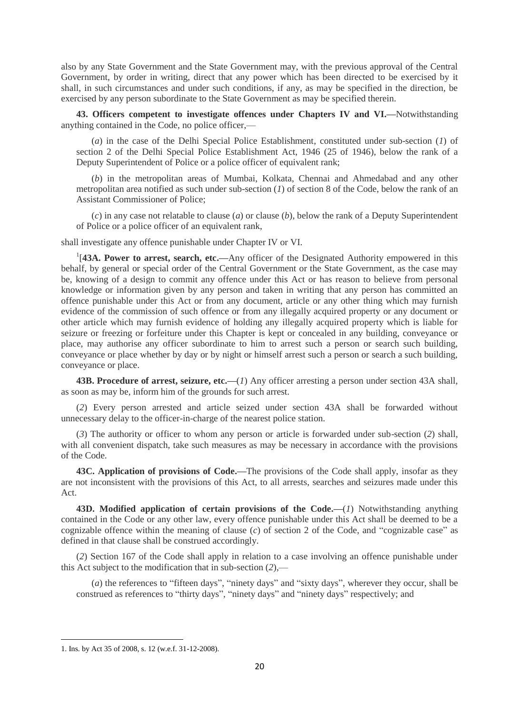also by any State Government and the State Government may, with the previous approval of the Central Government, by order in writing, direct that any power which has been directed to be exercised by it shall, in such circumstances and under such conditions, if any, as may be specified in the direction, be exercised by any person subordinate to the State Government as may be specified therein.

**43. Officers competent to investigate offences under Chapters IV and VI.—**Notwithstanding anything contained in the Code, no police officer,—

(*a*) in the case of the Delhi Special Police Establishment, constituted under sub-section (*1*) of section 2 of the Delhi Special Police Establishment Act, 1946 (25 of 1946), below the rank of a Deputy Superintendent of Police or a police officer of equivalent rank;

(*b*) in the metropolitan areas of Mumbai, Kolkata, Chennai and Ahmedabad and any other metropolitan area notified as such under sub-section (*1*) of section 8 of the Code, below the rank of an Assistant Commissioner of Police;

(*c*) in any case not relatable to clause (*a*) or clause (*b*), below the rank of a Deputy Superintendent of Police or a police officer of an equivalent rank,

shall investigate any offence punishable under Chapter IV or VI.

<sup>1</sup>[43A. Power to arrest, search, etc.—Any officer of the Designated Authority empowered in this behalf, by general or special order of the Central Government or the State Government, as the case may be, knowing of a design to commit any offence under this Act or has reason to believe from personal knowledge or information given by any person and taken in writing that any person has committed an offence punishable under this Act or from any document, article or any other thing which may furnish evidence of the commission of such offence or from any illegally acquired property or any document or other article which may furnish evidence of holding any illegally acquired property which is liable for seizure or freezing or forfeiture under this Chapter is kept or concealed in any building, conveyance or place, may authorise any officer subordinate to him to arrest such a person or search such building, conveyance or place whether by day or by night or himself arrest such a person or search a such building, conveyance or place.

**43B. Procedure of arrest, seizure, etc.—**(*1*) Any officer arresting a person under section 43A shall, as soon as may be, inform him of the grounds for such arrest.

(*2*) Every person arrested and article seized under section 43A shall be forwarded without unnecessary delay to the officer-in-charge of the nearest police station.

(*3*) The authority or officer to whom any person or article is forwarded under sub-section (*2*) shall, with all convenient dispatch, take such measures as may be necessary in accordance with the provisions of the Code.

**43C. Application of provisions of Code.—**The provisions of the Code shall apply, insofar as they are not inconsistent with the provisions of this Act, to all arrests, searches and seizures made under this Act.

**43D. Modified application of certain provisions of the Code.—**(*1*) Notwithstanding anything contained in the Code or any other law, every offence punishable under this Act shall be deemed to be a cognizable offence within the meaning of clause (*c*) of section 2 of the Code, and "cognizable case" as defined in that clause shall be construed accordingly.

(*2*) Section 167 of the Code shall apply in relation to a case involving an offence punishable under this Act subject to the modification that in sub-section (*2*),—

(*a*) the references to "fifteen days", "ninety days" and "sixty days", wherever they occur, shall be construed as references to "thirty days", "ninety days" and "ninety days" respectively; and

<sup>1.</sup> Ins. by Act 35 of 2008, s. 12 (w.e.f. 31-12-2008).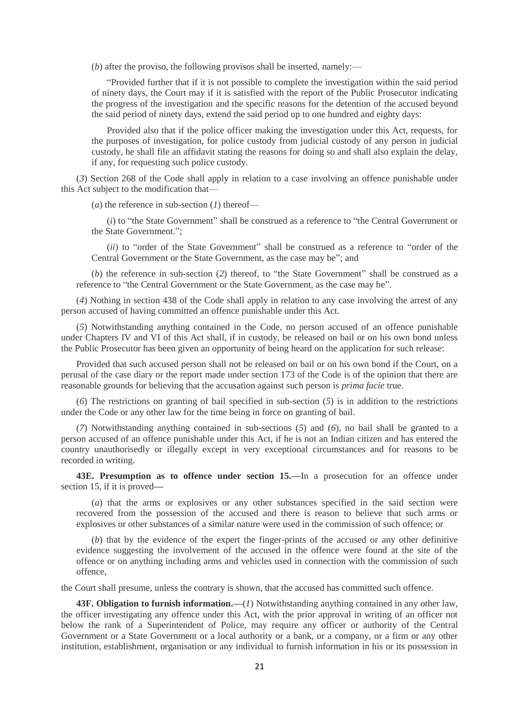(*b*) after the proviso, the following provisos shall be inserted, namely:—

"Provided further that if it is not possible to complete the investigation within the said period of ninety days, the Court may if it is satisfied with the report of the Public Prosecutor indicating the progress of the investigation and the specific reasons for the detention of the accused beyond the said period of ninety days, extend the said period up to one hundred and eighty days:

Provided also that if the police officer making the investigation under this Act, requests, for the purposes of investigation, for police custody from judicial custody of any person in judicial custody, he shall file an affidavit stating the reasons for doing so and shall also explain the delay, if any, for requesting such police custody.

(*3*) Section 268 of the Code shall apply in relation to a case involving an offence punishable under this Act subject to the modification that—

(*a*) the reference in sub-section (*1*) thereof—

(*i*) to "the State Government" shall be construed as a reference to "the Central Government or the State Government.";

(*ii*) to "order of the State Government" shall be construed as a reference to "order of the Central Government or the State Government, as the case may be"; and

(*b*) the reference in sub-section (*2*) thereof, to "the State Government" shall be construed as a reference to "the Central Government or the State Government, as the case may be".

(*4*) Nothing in section 438 of the Code shall apply in relation to any case involving the arrest of any person accused of having committed an offence punishable under this Act.

(*5*) Notwithstanding anything contained in the Code, no person accused of an offence punishable under Chapters IV and VI of this Act shall, if in custody, be released on bail or on his own bond unless the Public Prosecutor has been given an opportunity of being heard on the application for such release:

Provided that such accused person shall not be released on bail or on his own bond if the Court, on a perusal of the case diary or the report made under section 173 of the Code is of the opinion that there are reasonable grounds for believing that the accusation against such person is *prima facie* true.

(*6*) The restrictions on granting of bail specified in sub-section (*5*) is in addition to the restrictions under the Code or any other law for the time being in force on granting of bail.

(*7*) Notwithstanding anything contained in sub-sections (*5*) and (*6*), no bail shall be granted to a person accused of an offence punishable under this Act, if he is not an Indian citizen and has entered the country unauthorisedly or illegally except in very exceptional circumstances and for reasons to be recorded in writing.

**43E. Presumption as to offence under section 15.—**In a prosecution for an offence under section 15, if it is proved**—**

(*a*) that the arms or explosives or any other substances specified in the said section were recovered from the possession of the accused and there is reason to believe that such arms or explosives or other substances of a similar nature were used in the commission of such offence; or

(*b*) that by the evidence of the expert the finger-prints of the accused or any other definitive evidence suggesting the involvement of the accused in the offence were found at the site of the offence or on anything including arms and vehicles used in connection with the commission of such offence,

the Court shall presume, unless the contrary is shown, that the accused has committed such offence.

**43F. Obligation to furnish information.—**(*1*) Notwithstanding anything contained in any other law, the officer investigating any offence under this Act, with the prior approval in writing of an officer not below the rank of a Superintendent of Police, may require any officer or authority of the Central Government or a State Government or a local authority or a bank, or a company, or a firm or any other institution, establishment, organisation or any individual to furnish information in his or its possession in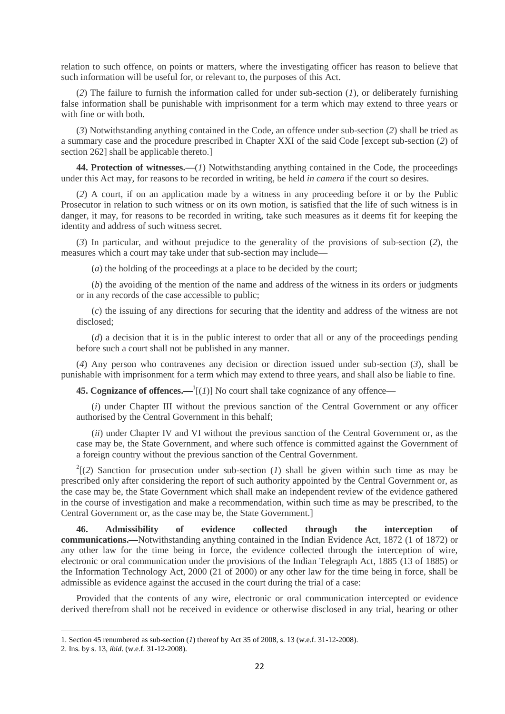relation to such offence, on points or matters, where the investigating officer has reason to believe that such information will be useful for, or relevant to, the purposes of this Act.

(*2*) The failure to furnish the information called for under sub-section (*1*), or deliberately furnishing false information shall be punishable with imprisonment for a term which may extend to three years or with fine or with both.

(*3*) Notwithstanding anything contained in the Code, an offence under sub-section (*2*) shall be tried as a summary case and the procedure prescribed in Chapter XXI of the said Code [except sub-section (*2*) of section 262] shall be applicable thereto.]

**44. Protection of witnesses.—**(*1*) Notwithstanding anything contained in the Code, the proceedings under this Act may, for reasons to be recorded in writing, be held *in camera* if the court so desires.

(*2*) A court, if on an application made by a witness in any proceeding before it or by the Public Prosecutor in relation to such witness or on its own motion, is satisfied that the life of such witness is in danger, it may, for reasons to be recorded in writing, take such measures as it deems fit for keeping the identity and address of such witness secret.

(*3*) In particular, and without prejudice to the generality of the provisions of sub-section (*2*), the measures which a court may take under that sub-section may include—

(*a*) the holding of the proceedings at a place to be decided by the court;

(*b*) the avoiding of the mention of the name and address of the witness in its orders or judgments or in any records of the case accessible to public;

(*c*) the issuing of any directions for securing that the identity and address of the witness are not disclosed<sup>.</sup>

(*d*) a decision that it is in the public interest to order that all or any of the proceedings pending before such a court shall not be published in any manner.

(*4*) Any person who contravenes any decision or direction issued under sub-section (*3*), shall be punishable with imprisonment for a term which may extend to three years, and shall also be liable to fine.

**45. Cognizance of offences.**— $\lbrack (1) \rbrack$  No court shall take cognizance of any offence—

(*i*) under Chapter III without the previous sanction of the Central Government or any officer authorised by the Central Government in this behalf;

(*ii*) under Chapter IV and VI without the previous sanction of the Central Government or, as the case may be, the State Government, and where such offence is committed against the Government of a foreign country without the previous sanction of the Central Government.

 $2^{2}$ [(2) Sanction for prosecution under sub-section (*1*) shall be given within such time as may be prescribed only after considering the report of such authority appointed by the Central Government or, as the case may be, the State Government which shall make an independent review of the evidence gathered in the course of investigation and make a recommendation, within such time as may be prescribed, to the Central Government or, as the case may be, the State Government.]

**46. Admissibility of evidence collected through the interception of communications.—**Notwithstanding anything contained in the Indian Evidence Act, 1872 (1 of 1872) or any other law for the time being in force, the evidence collected through the interception of wire, electronic or oral communication under the provisions of the Indian Telegraph Act, 1885 (13 of 1885) or the Information Technology Act, 2000 (21 of 2000) or any other law for the time being in force, shall be admissible as evidence against the accused in the court during the trial of a case:

Provided that the contents of any wire, electronic or oral communication intercepted or evidence derived therefrom shall not be received in evidence or otherwise disclosed in any trial, hearing or other

1

<sup>1.</sup> Section 45 renumbered as sub-section (*1*) thereof by Act 35 of 2008, s. 13 (w.e.f. 31-12-2008).

<sup>2.</sup> Ins. by s. 13, *ibid*. (w.e.f. 31-12-2008).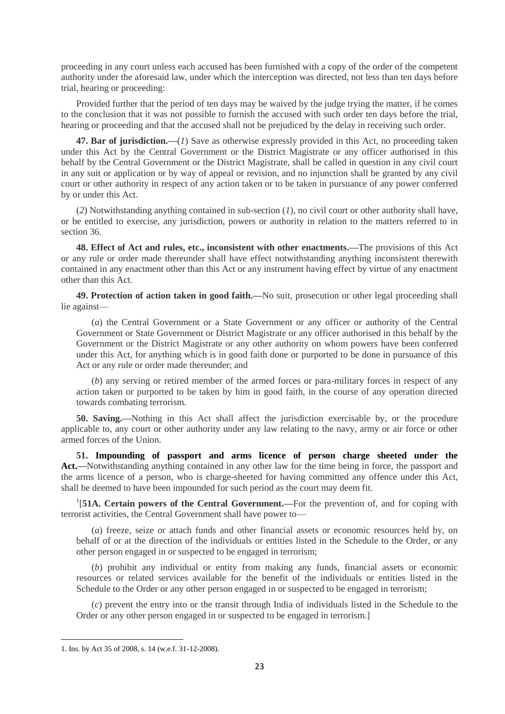proceeding in any court unless each accused has been furnished with a copy of the order of the competent authority under the aforesaid law, under which the interception was directed, not less than ten days before trial, hearing or proceeding:

Provided further that the period of ten days may be waived by the judge trying the matter, if he comes to the conclusion that it was not possible to furnish the accused with such order ten days before the trial, hearing or proceeding and that the accused shall not be prejudiced by the delay in receiving such order.

**47. Bar of jurisdiction.—**(*1*) Save as otherwise expressly provided in this Act, no proceeding taken under this Act by the Central Government or the District Magistrate or any officer authorised in this behalf by the Central Government or the District Magistrate, shall be called in question in any civil court in any suit or application or by way of appeal or revision, and no injunction shall be granted by any civil court or other authority in respect of any action taken or to be taken in pursuance of any power conferred by or under this Act.

(*2*) Notwithstanding anything contained in sub-section (*1*), no civil court or other authority shall have, or be entitled to exercise, any jurisdiction, powers or authority in relation to the matters referred to in section 36.

**48. Effect of Act and rules, etc., inconsistent with other enactments.—**The provisions of this Act or any rule or order made thereunder shall have effect notwithstanding anything inconsistent therewith contained in any enactment other than this Act or any instrument having effect by virtue of any enactment other than this Act.

**49. Protection of action taken in good faith.—**No suit, prosecution or other legal proceeding shall lie against—

(*a*) the Central Government or a State Government or any officer or authority of the Central Government or State Government or District Magistrate or any officer authorised in this behalf by the Government or the District Magistrate or any other authority on whom powers have been conferred under this Act, for anything which is in good faith done or purported to be done in pursuance of this Act or any rule or order made thereunder; and

(*b*) any serving or retired member of the armed forces or para-military forces in respect of any action taken or purported to be taken by him in good faith, in the course of any operation directed towards combating terrorism.

**50. Saving.—**Nothing in this Act shall affect the jurisdiction exercisable by, or the procedure applicable to, any court or other authority under any law relating to the navy, army or air force or other armed forces of the Union.

**51. Impounding of passport and arms licence of person charge sheeted under the Act.—**Notwithstanding anything contained in any other law for the time being in force, the passport and the arms licence of a person, who is charge-sheeted for having committed any offence under this Act, shall be deemed to have been impounded for such period as the court may deem fit.

1 [**51A. Certain powers of the Central Government.—**For the prevention of, and for coping with terrorist activities, the Central Government shall have power to—

(*a*) freeze, seize or attach funds and other financial assets or economic resources held by, on behalf of or at the direction of the individuals or entities listed in the Schedule to the Order, or any other person engaged in or suspected to be engaged in terrorism;

(*b*) prohibit any individual or entity from making any funds, financial assets or economic resources or related services available for the benefit of the individuals or entities listed in the Schedule to the Order or any other person engaged in or suspected to be engaged in terrorism;

(*c*) prevent the entry into or the transit through India of individuals listed in the Schedule to the Order or any other person engaged in or suspected to be engaged in terrorism.]

<sup>1.</sup> Ins. by Act 35 of 2008, s. 14 (w.e.f. 31-12-2008).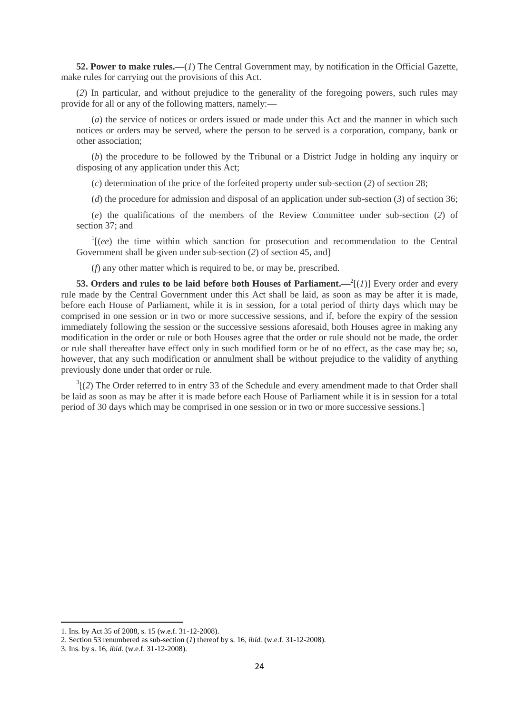**52. Power to make rules.—**(*1*) The Central Government may, by notification in the Official Gazette, make rules for carrying out the provisions of this Act.

(*2*) In particular, and without prejudice to the generality of the foregoing powers, such rules may provide for all or any of the following matters, namely:—

(*a*) the service of notices or orders issued or made under this Act and the manner in which such notices or orders may be served, where the person to be served is a corporation, company, bank or other association;

(*b*) the procedure to be followed by the Tribunal or a District Judge in holding any inquiry or disposing of any application under this Act;

(*c*) determination of the price of the forfeited property under sub-section (*2*) of section 28;

(*d*) the procedure for admission and disposal of an application under sub-section (*3*) of section 36;

(*e*) the qualifications of the members of the Review Committee under sub-section (*2*) of section 37; and

<sup>1</sup>[(ee) the time within which sanction for prosecution and recommendation to the Central Government shall be given under sub-section (*2*) of section 45, and]

(*f*) any other matter which is required to be, or may be, prescribed.

**53.** Orders and rules to be laid before both Houses of Parliament.  $\frac{2}{1}$  Every order and every rule made by the Central Government under this Act shall be laid, as soon as may be after it is made, before each House of Parliament, while it is in session, for a total period of thirty days which may be comprised in one session or in two or more successive sessions, and if, before the expiry of the session immediately following the session or the successive sessions aforesaid, both Houses agree in making any modification in the order or rule or both Houses agree that the order or rule should not be made, the order or rule shall thereafter have effect only in such modified form or be of no effect, as the case may be; so, however, that any such modification or annulment shall be without prejudice to the validity of anything previously done under that order or rule.

 $3(2)$  The Order referred to in entry 33 of the Schedule and every amendment made to that Order shall be laid as soon as may be after it is made before each House of Parliament while it is in session for a total period of 30 days which may be comprised in one session or in two or more successive sessions.]

<sup>1.</sup> Ins. by Act 35 of 2008, s. 15 (w.e.f. 31-12-2008).

<sup>2.</sup> Section 53 renumbered as sub-section (*1*) thereof by s. 16, *ibid.* (w.e.f. 31-12-2008).

<sup>3.</sup> Ins. by s. 16, *ibid.* (w.e.f. 31-12-2008).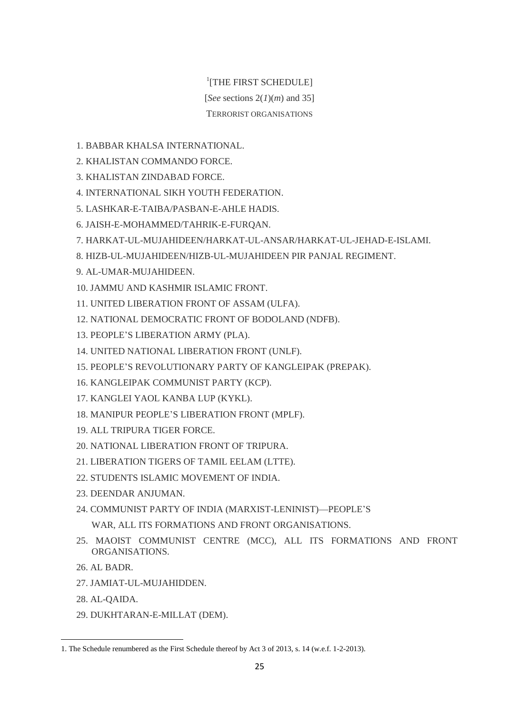## 1 [THE FIRST SCHEDULE]

[*See* sections 2(*1*)(*m*) and 35]

## TERRORIST ORGANISATIONS

- 1. BABBAR KHALSA INTERNATIONAL.
- 2. KHALISTAN COMMANDO FORCE.
- 3. KHALISTAN ZINDABAD FORCE.
- 4. INTERNATIONAL SIKH YOUTH FEDERATION.
- 5. LASHKAR-E-TAIBA/PASBAN-E-AHLE HADIS.
- 6. JAISH-E-MOHAMMED/TAHRIK-E-FURQAN.
- 7. HARKAT-UL-MUJAHIDEEN/HARKAT-UL-ANSAR/HARKAT-UL-JEHAD-E-ISLAMI.
- 8. HIZB-UL-MUJAHIDEEN/HIZB-UL-MUJAHIDEEN PIR PANJAL REGIMENT.
- 9. AL-UMAR-MUJAHIDEEN.
- 10. JAMMU AND KASHMIR ISLAMIC FRONT.
- 11. UNITED LIBERATION FRONT OF ASSAM (ULFA).
- 12. NATIONAL DEMOCRATIC FRONT OF BODOLAND (NDFB).
- 13. PEOPLE'S LIBERATION ARMY (PLA).
- 14. UNITED NATIONAL LIBERATION FRONT (UNLF).
- 15. PEOPLE'S REVOLUTIONARY PARTY OF KANGLEIPAK (PREPAK).
- 16. KANGLEIPAK COMMUNIST PARTY (KCP).
- 17. KANGLEI YAOL KANBA LUP (KYKL).
- 18. MANIPUR PEOPLE'S LIBERATION FRONT (MPLF).
- 19. ALL TRIPURA TIGER FORCE.
- 20. NATIONAL LIBERATION FRONT OF TRIPURA.
- 21. LIBERATION TIGERS OF TAMIL EELAM (LTTE).
- 22. STUDENTS ISLAMIC MOVEMENT OF INDIA.
- 23. DEENDAR ANJUMAN.
- 24. COMMUNIST PARTY OF INDIA (MARXIST-LENINIST)—PEOPLE'S
	- WAR, ALL ITS FORMATIONS AND FRONT ORGANISATIONS.
- 25. MAOIST COMMUNIST CENTRE (MCC), ALL ITS FORMATIONS AND FRONT ORGANISATIONS.
- 26. AL BADR.
- 27. JAMIAT-UL-MUJAHIDDEN.
- 28. AL-QAIDA.
- 29. DUKHTARAN-E-MILLAT (DEM).

**<sup>.</sup>** 1. The Schedule renumbered as the First Schedule thereof by Act 3 of 2013, s. 14 (w.e.f. 1-2-2013).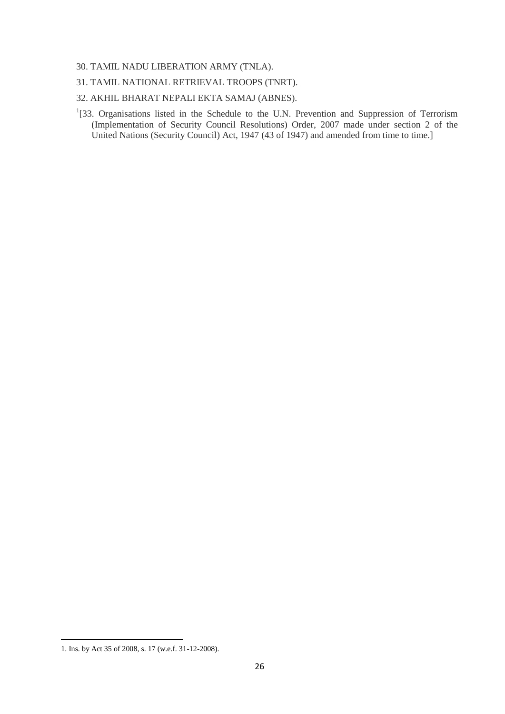## 30. TAMIL NADU LIBERATION ARMY (TNLA).

## 31. TAMIL NATIONAL RETRIEVAL TROOPS (TNRT).

## 32. AKHIL BHARAT NEPALI EKTA SAMAJ (ABNES).

<sup>1</sup>[33. Organisations listed in the Schedule to the U.N. Prevention and Suppression of Terrorism (Implementation of Security Council Resolutions) Order, 2007 made under section 2 of the United Nations (Security Council) Act, 1947 (43 of 1947) and amended from time to time.]

<sup>1.</sup> Ins. by Act 35 of 2008, s. 17 (w.e.f. 31-12-2008).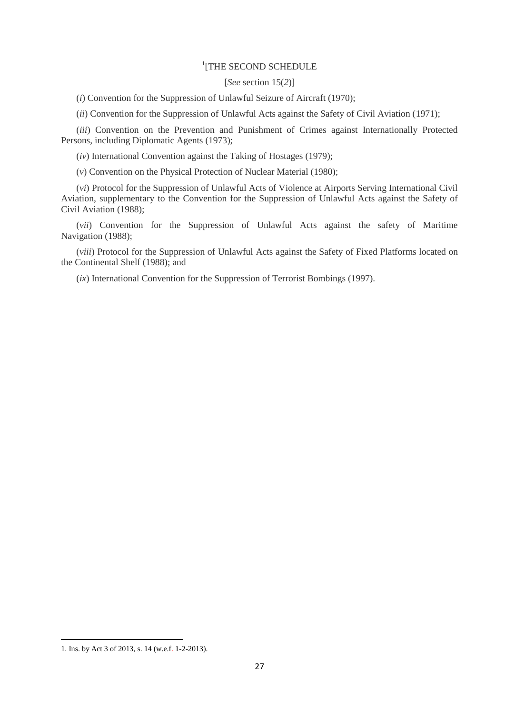## <sup>1</sup>[THE SECOND SCHEDULE

## [*See* section 15(*2*)]

(*i*) Convention for the Suppression of Unlawful Seizure of Aircraft (1970);

(*ii*) Convention for the Suppression of Unlawful Acts against the Safety of Civil Aviation (1971);

(*iii*) Convention on the Prevention and Punishment of Crimes against Internationally Protected Persons, including Diplomatic Agents (1973);

(*iv*) International Convention against the Taking of Hostages (1979);

(*v*) Convention on the Physical Protection of Nuclear Material (1980);

(*vi*) Protocol for the Suppression of Unlawful Acts of Violence at Airports Serving International Civil Aviation, supplementary to the Convention for the Suppression of Unlawful Acts against the Safety of Civil Aviation (1988);

(*vii*) Convention for the Suppression of Unlawful Acts against the safety of Maritime Navigation (1988);

(*viii*) Protocol for the Suppression of Unlawful Acts against the Safety of Fixed Platforms located on the Continental Shelf (1988); and

(*ix*) International Convention for the Suppression of Terrorist Bombings (1997).

<sup>1.</sup> Ins. by Act 3 of 2013, s. 14 (w.e.f. 1-2-2013).